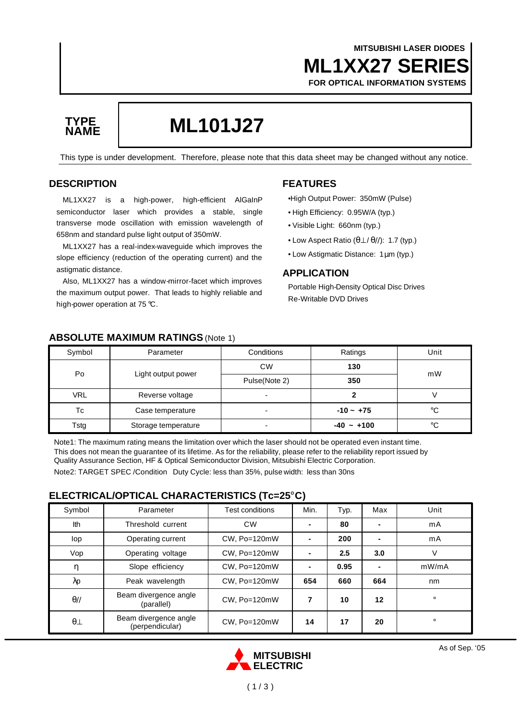### **ML1XX27 SERIES MITSUBISHI LASER DIODES FOR OPTICAL INFORMATION SYSTEMS**



# **ML101J27 TYPE**

This type is under development. Therefore, please note that this data sheet may be changed without any notice.

#### **DESCRIPTION**

ML1XX27 is a high-power, high-efficient AlGaInP semiconductor laser which provides a stable, single transverse mode oscillation with emission wavelength of 658nm and standard pulse light output of 350mW.

ML1XX27 has a real-index-waveguide which improves the slope efficiency (reduction of the operating current) and the astigmatic distance.

Also, ML1XX27 has a window-mirror-facet which improves the maximum output power. That leads to highly reliable and high-power operation at 75 °C.

### **FEATURES**

•High Output Power: 350mW (Pulse)

- High Efficiency: 0.95W/A (typ.)
- Visible Light: 660nm (typ.)
- Low Aspect Ratio (θ⊥ / θ//): 1.7 (typ.)
- Low Astigmatic Distance: 1μm (typ.)

#### **APPLICATION**

Portable High-Density Optical Disc Drives Re-Writable DVD Drives

| Symbol     | Parameter           | Conditions               | Ratings      | Unit |
|------------|---------------------|--------------------------|--------------|------|
| Po         | Light output power  | <b>CW</b>                | 130          | mW   |
|            |                     | Pulse(Note 2)            | 350          |      |
| <b>VRL</b> | Reverse voltage     | $\overline{\phantom{a}}$ |              |      |
| Тc         | Case temperature    | ۰                        | $-10 - +75$  | °C   |
| Tstg       | Storage temperature | $\overline{\phantom{0}}$ | $-40 - +100$ | °C   |

#### **ABSOLUTE MAXIMUM RATINGS** (Note 1)

Note1: The maximum rating means the limitation over which the laser should not be operated even instant time. This does not mean the guarantee of its lifetime. As for the reliability, please refer to the reliability report issued by Quality Assurance Section, HF & Optical Semiconductor Division, Mitsubishi Electric Corporation.

Note2: TARGET SPEC /Condition Duty Cycle: less than 35%, pulse width: less than 30ns

#### **ELECTRICAL/OPTICAL CHARACTERISTICS (Tc=25°C)**

| Symbol       | Parameter                                | Test conditions | Min.           | Typ. | Max            | Unit    |
|--------------|------------------------------------------|-----------------|----------------|------|----------------|---------|
| Ith          | Threshold current                        | <b>CW</b>       | ۰              | 80   | $\blacksquare$ | mA      |
| lop          | Operating current                        | CW, Po=120mW    | $\blacksquare$ | 200  | $\blacksquare$ | mA      |
| Vop          | Operating voltage                        | CW, Po=120mW    | $\blacksquare$ | 2.5  | 3.0            | V       |
| η            | Slope efficiency                         | CW, Po=120mW    | $\blacksquare$ | 0.95 | $\blacksquare$ | mW/mA   |
| λp           | Peak wavelength                          | CW, Po=120mW    | 654            | 660  | 664            | nm      |
| $\theta$ //  | Beam divergence angle<br>(parallel)      | CW, Po=120mW    | 7              | 10   | 12             | $\circ$ |
| $\theta\bot$ | Beam divergence angle<br>(perpendicular) | CW, Po=120mW    | 14             | 17   | 20             | $\circ$ |

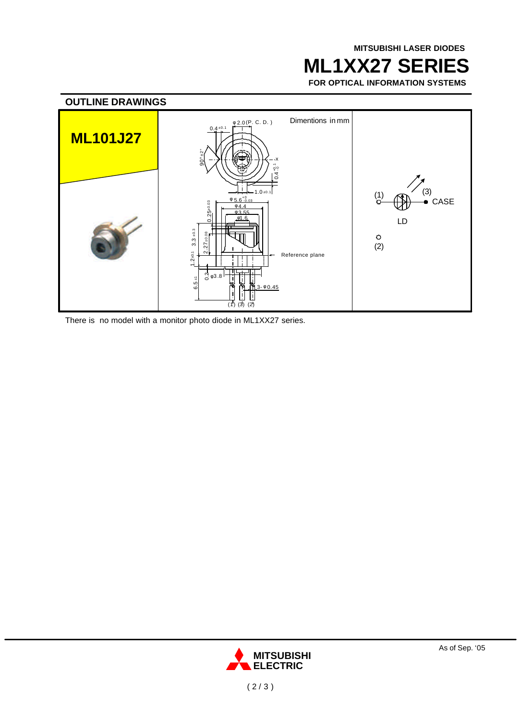## **ML1XX27 SERIES**

**FOR OPTICAL INFORMATION SYSTEMS**



There is no model with a monitor photo diode in ML1XX27 series.